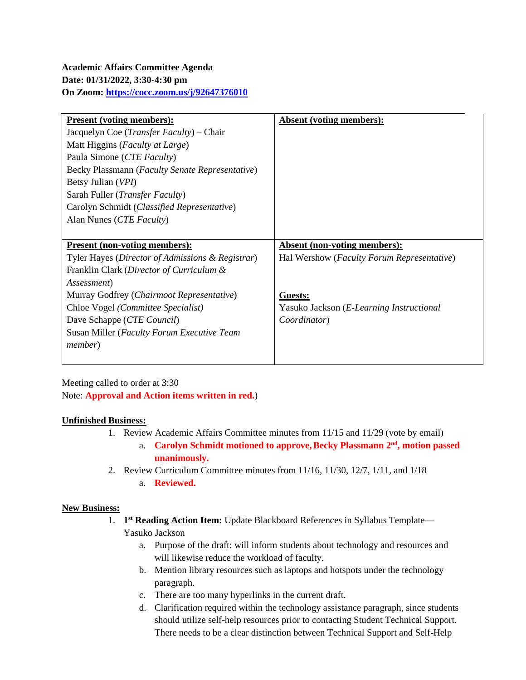| <b>Present (voting members):</b>                  | Absent (voting members):                            |
|---------------------------------------------------|-----------------------------------------------------|
| Jacquelyn Coe ( <i>Transfer Faculty</i> ) – Chair |                                                     |
| Matt Higgins (Faculty at Large)                   |                                                     |
| Paula Simone ( <i>CTE Faculty</i> )               |                                                     |
| Becky Plassmann (Faculty Senate Representative)   |                                                     |
| Betsy Julian (VPI)                                |                                                     |
| Sarah Fuller (Transfer Faculty)                   |                                                     |
| Carolyn Schmidt (Classified Representative)       |                                                     |
| Alan Nunes (CTE Faculty)                          |                                                     |
|                                                   |                                                     |
| <u><b>Present (non-voting members):</b></u>       | <b>Absent (non-voting members):</b>                 |
| Tyler Hayes (Director of Admissions & Registrar)  | Hal Wershow ( <i>Faculty Forum Representative</i> ) |
| Franklin Clark (Director of Curriculum &          |                                                     |
| Assessment)                                       |                                                     |
| Murray Godfrey (Chairmoot Representative)         | Guests:                                             |
| Chloe Vogel (Committee Specialist)                | Yasuko Jackson (E-Learning Instructional            |
| Dave Schappe (CTE Council)                        | Coordinator)                                        |
| Susan Miller (Faculty Forum Executive Team        |                                                     |
| <i>member</i> )                                   |                                                     |
|                                                   |                                                     |

Meeting called to order at 3:30 Note: **Approval and Action items written in red.**)

## **Unfinished Business:**

- 1. Review Academic Affairs Committee minutes from 11/15 and 11/29 (vote by email)
	- a. **Carolyn Schmidt motioned to approve,Becky Plassmann 2nd, motion passed unanimously.**
- 2. Review Curriculum Committee minutes from 11/16, 11/30, 12/7, 1/11, and 1/18
	- a. **Reviewed.**

## **New Business:**

- 1. **1st Reading Action Item:** Update Blackboard References in Syllabus Template— Yasuko Jackson
	- a. Purpose of the draft: will inform students about technology and resources and will likewise reduce the workload of faculty.
	- b. Mention library resources such as laptops and hotspots under the technology paragraph.
	- c. There are too many hyperlinks in the current draft.
	- d. Clarification required within the technology assistance paragraph, since students should utilize self-help resources prior to contacting Student Technical Support. There needs to be a clear distinction between Technical Support and Self-Help